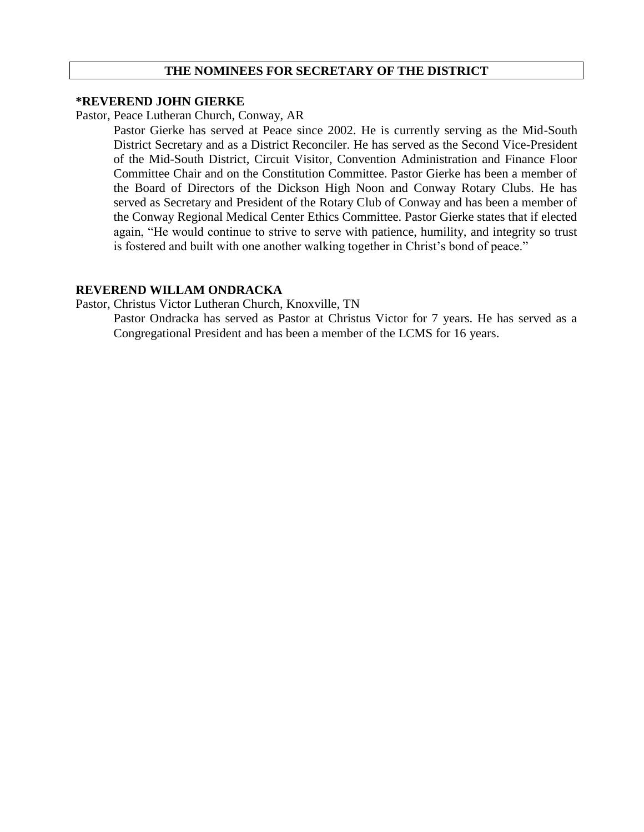## **THE NOMINEES FOR SECRETARY OF THE DISTRICT**

## **\*REVEREND JOHN GIERKE**

#### Pastor, Peace Lutheran Church, Conway, AR

Pastor Gierke has served at Peace since 2002. He is currently serving as the Mid-South District Secretary and as a District Reconciler. He has served as the Second Vice-President of the Mid-South District, Circuit Visitor, Convention Administration and Finance Floor Committee Chair and on the Constitution Committee. Pastor Gierke has been a member of the Board of Directors of the Dickson High Noon and Conway Rotary Clubs. He has served as Secretary and President of the Rotary Club of Conway and has been a member of the Conway Regional Medical Center Ethics Committee. Pastor Gierke states that if elected again, "He would continue to strive to serve with patience, humility, and integrity so trust is fostered and built with one another walking together in Christ's bond of peace."

# **REVEREND WILLAM ONDRACKA**

Pastor, Christus Victor Lutheran Church, Knoxville, TN

Pastor Ondracka has served as Pastor at Christus Victor for 7 years. He has served as a Congregational President and has been a member of the LCMS for 16 years.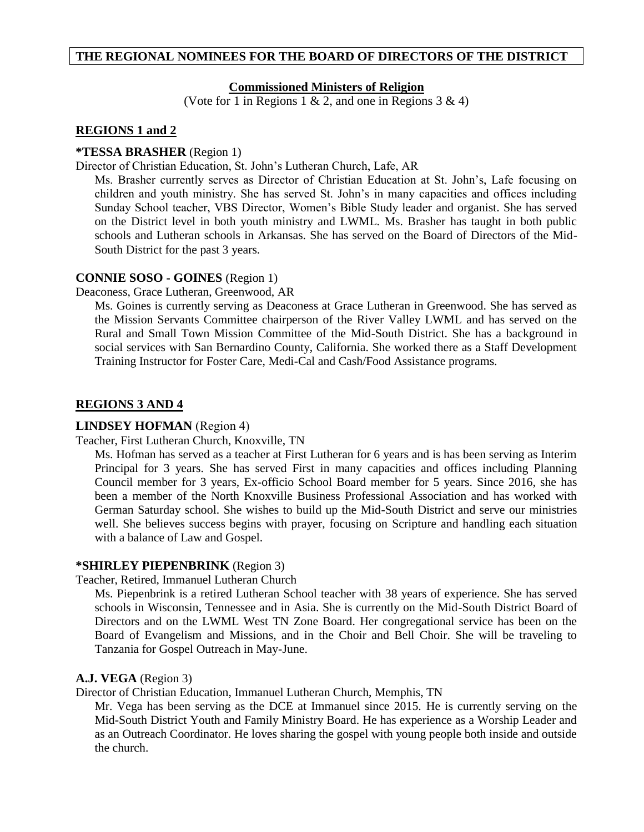## **THE REGIONAL NOMINEES FOR THE BOARD OF DIRECTORS OF THE DISTRICT**

## **Commissioned Ministers of Religion**

(Vote for 1 in Regions 1  $\&$  2, and one in Regions 3  $\&$  4)

#### **REGIONS 1 and 2**

#### **\*TESSA BRASHER** (Region 1)

Director of Christian Education, St. John's Lutheran Church, Lafe, AR

Ms. Brasher currently serves as Director of Christian Education at St. John's, Lafe focusing on children and youth ministry. She has served St. John's in many capacities and offices including Sunday School teacher, VBS Director, Women's Bible Study leader and organist. She has served on the District level in both youth ministry and LWML. Ms. Brasher has taught in both public schools and Lutheran schools in Arkansas. She has served on the Board of Directors of the Mid-South District for the past 3 years.

#### **CONNIE SOSO - GOINES** (Region 1)

Deaconess, Grace Lutheran, Greenwood, AR

Ms. Goines is currently serving as Deaconess at Grace Lutheran in Greenwood. She has served as the Mission Servants Committee chairperson of the River Valley LWML and has served on the Rural and Small Town Mission Committee of the Mid-South District. She has a background in social services with San Bernardino County, California. She worked there as a Staff Development Training Instructor for Foster Care, Medi-Cal and Cash/Food Assistance programs.

#### **REGIONS 3 AND 4**

#### **LINDSEY HOFMAN** (Region 4)

Teacher, First Lutheran Church, Knoxville, TN

Ms. Hofman has served as a teacher at First Lutheran for 6 years and is has been serving as Interim Principal for 3 years. She has served First in many capacities and offices including Planning Council member for 3 years, Ex-officio School Board member for 5 years. Since 2016, she has been a member of the North Knoxville Business Professional Association and has worked with German Saturday school. She wishes to build up the Mid-South District and serve our ministries well. She believes success begins with prayer, focusing on Scripture and handling each situation with a balance of Law and Gospel.

#### **\*SHIRLEY PIEPENBRINK** (Region 3)

Teacher, Retired, Immanuel Lutheran Church

Ms. Piepenbrink is a retired Lutheran School teacher with 38 years of experience. She has served schools in Wisconsin, Tennessee and in Asia. She is currently on the Mid-South District Board of Directors and on the LWML West TN Zone Board. Her congregational service has been on the Board of Evangelism and Missions, and in the Choir and Bell Choir. She will be traveling to Tanzania for Gospel Outreach in May-June.

#### **A.J. VEGA** (Region 3)

Director of Christian Education, Immanuel Lutheran Church, Memphis, TN

Mr. Vega has been serving as the DCE at Immanuel since 2015. He is currently serving on the Mid-South District Youth and Family Ministry Board. He has experience as a Worship Leader and as an Outreach Coordinator. He loves sharing the gospel with young people both inside and outside the church.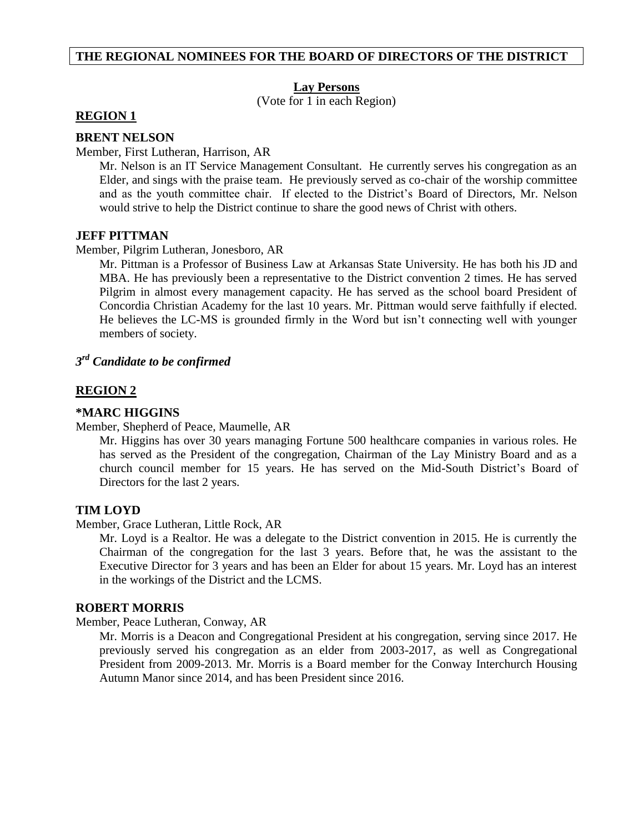#### **THE REGIONAL NOMINEES FOR THE BOARD OF DIRECTORS OF THE DISTRICT**

#### **Lay Persons**

(Vote for 1 in each Region)

#### **REGION 1**

#### **BRENT NELSON**

#### Member, First Lutheran, Harrison, AR

Mr. Nelson is an IT Service Management Consultant. He currently serves his congregation as an Elder, and sings with the praise team. He previously served as co-chair of the worship committee and as the youth committee chair. If elected to the District's Board of Directors, Mr. Nelson would strive to help the District continue to share the good news of Christ with others.

#### **JEFF PITTMAN**

#### Member, Pilgrim Lutheran, Jonesboro, AR

Mr. Pittman is a Professor of Business Law at Arkansas State University. He has both his JD and MBA. He has previously been a representative to the District convention 2 times. He has served Pilgrim in almost every management capacity. He has served as the school board President of Concordia Christian Academy for the last 10 years. Mr. Pittman would serve faithfully if elected. He believes the LC-MS is grounded firmly in the Word but isn't connecting well with younger members of society.

# *3 rd Candidate to be confirmed*

## **REGION 2**

#### **\*MARC HIGGINS**

Member, Shepherd of Peace, Maumelle, AR

Mr. Higgins has over 30 years managing Fortune 500 healthcare companies in various roles. He has served as the President of the congregation, Chairman of the Lay Ministry Board and as a church council member for 15 years. He has served on the Mid-South District's Board of Directors for the last 2 years.

#### **TIM LOYD**

Member, Grace Lutheran, Little Rock, AR

Mr. Loyd is a Realtor. He was a delegate to the District convention in 2015. He is currently the Chairman of the congregation for the last 3 years. Before that, he was the assistant to the Executive Director for 3 years and has been an Elder for about 15 years. Mr. Loyd has an interest in the workings of the District and the LCMS.

#### **ROBERT MORRIS**

Member, Peace Lutheran, Conway, AR

Mr. Morris is a Deacon and Congregational President at his congregation, serving since 2017. He previously served his congregation as an elder from 2003-2017, as well as Congregational President from 2009-2013. Mr. Morris is a Board member for the Conway Interchurch Housing Autumn Manor since 2014, and has been President since 2016.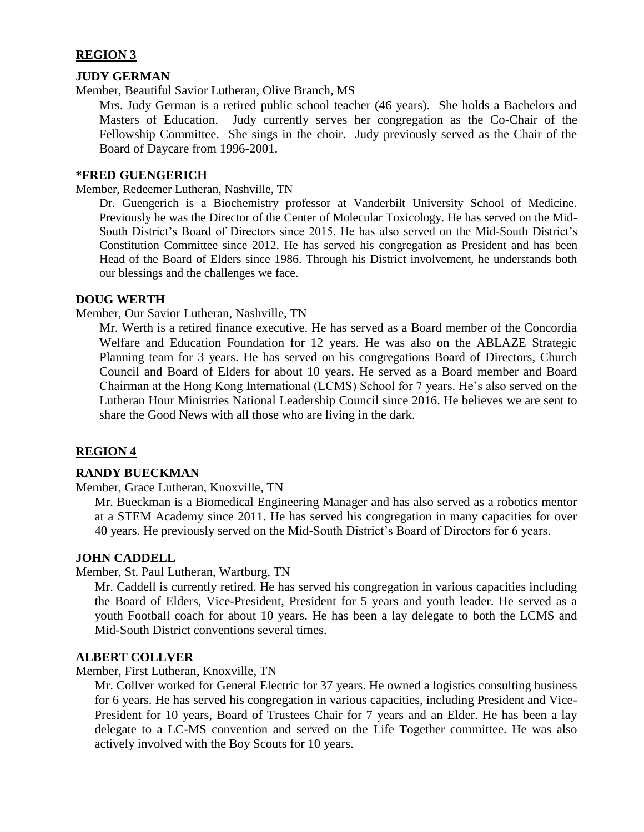# **REGION 3**

# **JUDY GERMAN**

Member, Beautiful Savior Lutheran, Olive Branch, MS

Mrs. Judy German is a retired public school teacher (46 years). She holds a Bachelors and Masters of Education. Judy currently serves her congregation as the Co-Chair of the Fellowship Committee. She sings in the choir. Judy previously served as the Chair of the Board of Daycare from 1996-2001.

# **\*FRED GUENGERICH**

Member, Redeemer Lutheran, Nashville, TN

Dr. Guengerich is a Biochemistry professor at Vanderbilt University School of Medicine. Previously he was the Director of the Center of Molecular Toxicology. He has served on the Mid-South District's Board of Directors since 2015. He has also served on the Mid-South District's Constitution Committee since 2012. He has served his congregation as President and has been Head of the Board of Elders since 1986. Through his District involvement, he understands both our blessings and the challenges we face.

## **DOUG WERTH**

Member, Our Savior Lutheran, Nashville, TN

Mr. Werth is a retired finance executive. He has served as a Board member of the Concordia Welfare and Education Foundation for 12 years. He was also on the ABLAZE Strategic Planning team for 3 years. He has served on his congregations Board of Directors, Church Council and Board of Elders for about 10 years. He served as a Board member and Board Chairman at the Hong Kong International (LCMS) School for 7 years. He's also served on the Lutheran Hour Ministries National Leadership Council since 2016. He believes we are sent to share the Good News with all those who are living in the dark.

# **REGION 4**

# **RANDY BUECKMAN**

Member, Grace Lutheran, Knoxville, TN

Mr. Bueckman is a Biomedical Engineering Manager and has also served as a robotics mentor at a STEM Academy since 2011. He has served his congregation in many capacities for over 40 years. He previously served on the Mid-South District's Board of Directors for 6 years.

# **JOHN CADDELL**

Member, St. Paul Lutheran, Wartburg, TN

Mr. Caddell is currently retired. He has served his congregation in various capacities including the Board of Elders, Vice-President, President for 5 years and youth leader. He served as a youth Football coach for about 10 years. He has been a lay delegate to both the LCMS and Mid-South District conventions several times.

#### **ALBERT COLLVER**

Member, First Lutheran, Knoxville, TN

Mr. Collver worked for General Electric for 37 years. He owned a logistics consulting business for 6 years. He has served his congregation in various capacities, including President and Vice-President for 10 years, Board of Trustees Chair for 7 years and an Elder. He has been a lay delegate to a LC-MS convention and served on the Life Together committee. He was also actively involved with the Boy Scouts for 10 years.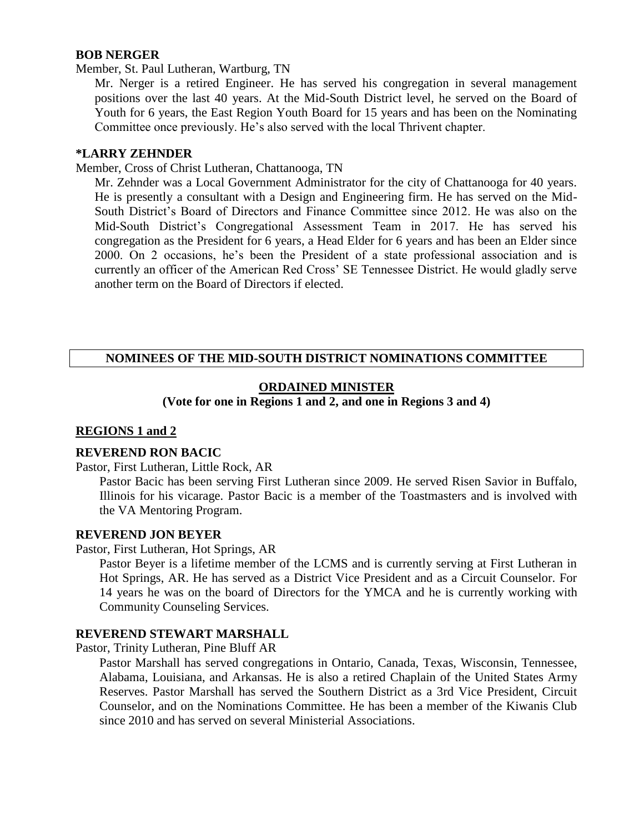## **BOB NERGER**

Member, St. Paul Lutheran, Wartburg, TN

Mr. Nerger is a retired Engineer. He has served his congregation in several management positions over the last 40 years. At the Mid-South District level, he served on the Board of Youth for 6 years, the East Region Youth Board for 15 years and has been on the Nominating Committee once previously. He's also served with the local Thrivent chapter.

#### **\*LARRY ZEHNDER**

Member, Cross of Christ Lutheran, Chattanooga, TN

Mr. Zehnder was a Local Government Administrator for the city of Chattanooga for 40 years. He is presently a consultant with a Design and Engineering firm. He has served on the Mid-South District's Board of Directors and Finance Committee since 2012. He was also on the Mid-South District's Congregational Assessment Team in 2017. He has served his congregation as the President for 6 years, a Head Elder for 6 years and has been an Elder since 2000. On 2 occasions, he's been the President of a state professional association and is currently an officer of the American Red Cross' SE Tennessee District. He would gladly serve another term on the Board of Directors if elected.

# **NOMINEES OF THE MID-SOUTH DISTRICT NOMINATIONS COMMITTEE**

# **ORDAINED MINISTER**

**(Vote for one in Regions 1 and 2, and one in Regions 3 and 4)**

#### **REGIONS 1 and 2**

## **REVEREND RON BACIC**

Pastor, First Lutheran, Little Rock, AR

Pastor Bacic has been serving First Lutheran since 2009. He served Risen Savior in Buffalo, Illinois for his vicarage. Pastor Bacic is a member of the Toastmasters and is involved with the VA Mentoring Program.

#### **REVEREND JON BEYER**

Pastor, First Lutheran, Hot Springs, AR

Pastor Beyer is a lifetime member of the LCMS and is currently serving at First Lutheran in Hot Springs, AR. He has served as a District Vice President and as a Circuit Counselor. For 14 years he was on the board of Directors for the YMCA and he is currently working with Community Counseling Services.

#### **REVEREND STEWART MARSHALL**

Pastor, Trinity Lutheran, Pine Bluff AR

Pastor Marshall has served congregations in Ontario, Canada, Texas, Wisconsin, Tennessee, Alabama, Louisiana, and Arkansas. He is also a retired Chaplain of the United States Army Reserves. Pastor Marshall has served the Southern District as a 3rd Vice President, Circuit Counselor, and on the Nominations Committee. He has been a member of the Kiwanis Club since 2010 and has served on several Ministerial Associations.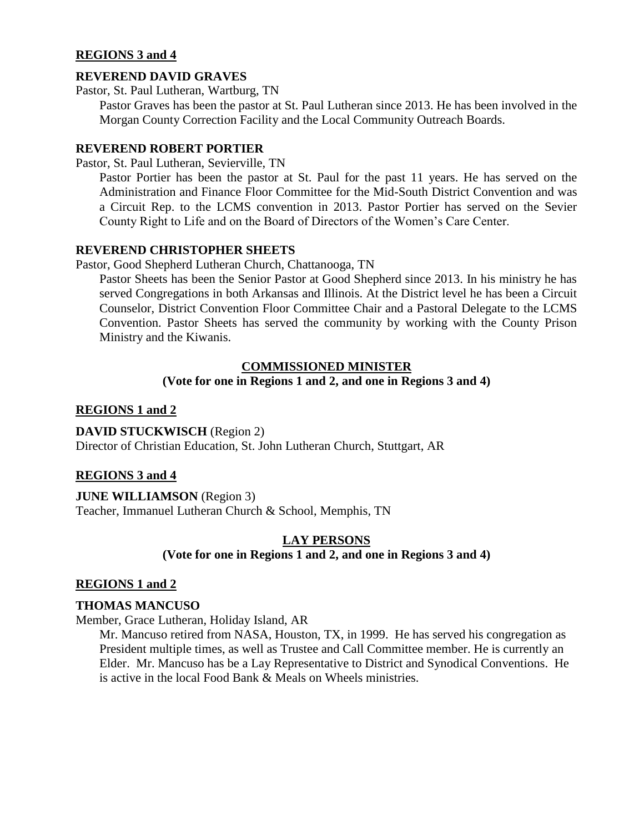# **REGIONS 3 and 4**

# **REVEREND DAVID GRAVES**

Pastor, St. Paul Lutheran, Wartburg, TN

Pastor Graves has been the pastor at St. Paul Lutheran since 2013. He has been involved in the Morgan County Correction Facility and the Local Community Outreach Boards.

## **REVEREND ROBERT PORTIER**

Pastor, St. Paul Lutheran, Sevierville, TN

Pastor Portier has been the pastor at St. Paul for the past 11 years. He has served on the Administration and Finance Floor Committee for the Mid-South District Convention and was a Circuit Rep. to the LCMS convention in 2013. Pastor Portier has served on the Sevier County Right to Life and on the Board of Directors of the Women's Care Center.

# **REVEREND CHRISTOPHER SHEETS**

Pastor, Good Shepherd Lutheran Church, Chattanooga, TN

Pastor Sheets has been the Senior Pastor at Good Shepherd since 2013. In his ministry he has served Congregations in both Arkansas and Illinois. At the District level he has been a Circuit Counselor, District Convention Floor Committee Chair and a Pastoral Delegate to the LCMS Convention. Pastor Sheets has served the community by working with the County Prison Ministry and the Kiwanis.

# **COMMISSIONED MINISTER**

# **(Vote for one in Regions 1 and 2, and one in Regions 3 and 4)**

# **REGIONS 1 and 2**

**DAVID STUCKWISCH** (Region 2) Director of Christian Education, St. John Lutheran Church, Stuttgart, AR

# **REGIONS 3 and 4**

**JUNE WILLIAMSON** (Region 3) Teacher, Immanuel Lutheran Church & School, Memphis, TN

# **LAY PERSONS (Vote for one in Regions 1 and 2, and one in Regions 3 and 4)**

# **REGIONS 1 and 2**

#### **THOMAS MANCUSO**

Member, Grace Lutheran, Holiday Island, AR

Mr. Mancuso retired from NASA, Houston, TX, in 1999. He has served his congregation as President multiple times, as well as Trustee and Call Committee member. He is currently an Elder. Mr. Mancuso has be a Lay Representative to District and Synodical Conventions. He is active in the local Food Bank & Meals on Wheels ministries.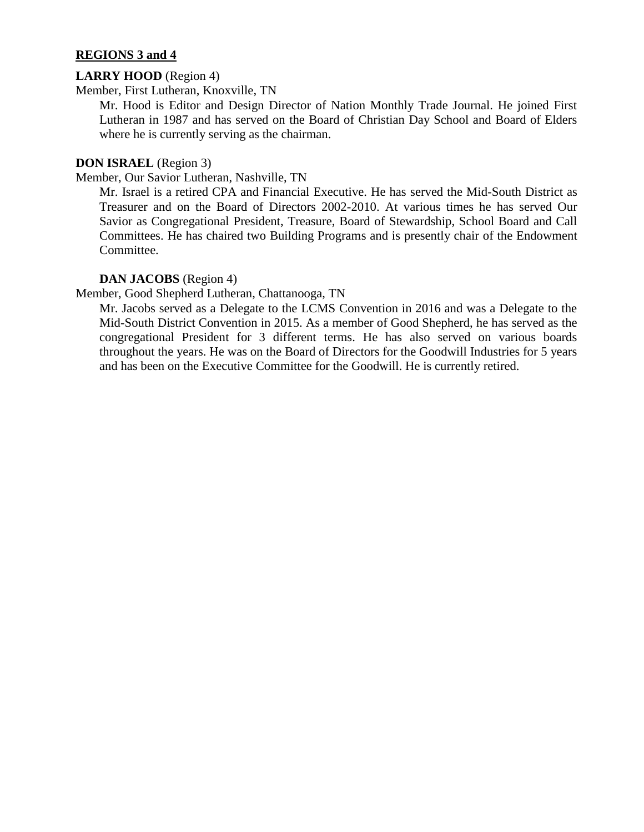# **REGIONS 3 and 4**

# **LARRY HOOD** (Region 4)

Member, First Lutheran, Knoxville, TN

Mr. Hood is Editor and Design Director of Nation Monthly Trade Journal. He joined First Lutheran in 1987 and has served on the Board of Christian Day School and Board of Elders where he is currently serving as the chairman.

# **DON ISRAEL** (Region 3)

Member, Our Savior Lutheran, Nashville, TN

Mr. Israel is a retired CPA and Financial Executive. He has served the Mid-South District as Treasurer and on the Board of Directors 2002-2010. At various times he has served Our Savior as Congregational President, Treasure, Board of Stewardship, School Board and Call Committees. He has chaired two Building Programs and is presently chair of the Endowment Committee.

# **DAN JACOBS** (Region 4)

Member, Good Shepherd Lutheran, Chattanooga, TN

Mr. Jacobs served as a Delegate to the LCMS Convention in 2016 and was a Delegate to the Mid-South District Convention in 2015. As a member of Good Shepherd, he has served as the congregational President for 3 different terms. He has also served on various boards throughout the years. He was on the Board of Directors for the Goodwill Industries for 5 years and has been on the Executive Committee for the Goodwill. He is currently retired.